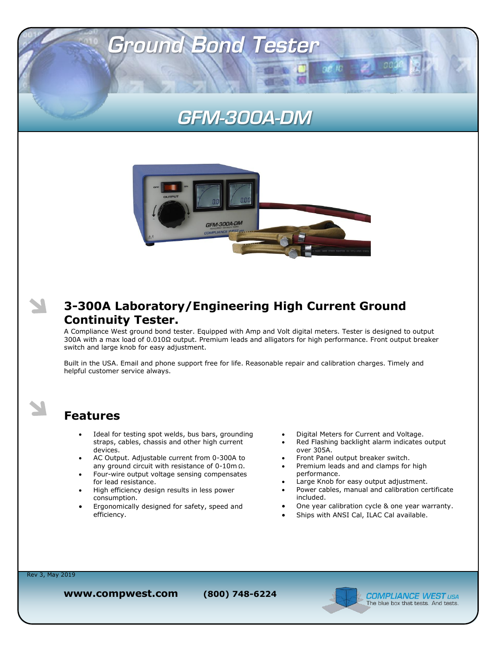# **GFM-300A-DM**

 $\alpha$  $\epsilon$  to

**Ground Bond Tester** 



#### **3-300A Laboratory/Engineering High Current Ground Continuity Tester.**

A Compliance West ground bond tester. Equipped with Amp and Volt digital meters. Tester is designed to output 300A with a max load of 0.010Ω output. Premium leads and alligators for high performance. Front output breaker switch and large knob for easy adjustment.

Built in the USA. Email and phone support free for life. Reasonable repair and calibration charges. Timely and helpful customer service always.

#### **Features**

- Ideal for testing spot welds, bus bars, grounding straps, cables, chassis and other high current devices.
- AC Output. Adjustable current from 0-300A to any ground circuit with resistance of 0-10m Ω.
- Four-wire output voltage sensing compensates for lead resistance.
- High efficiency design results in less power consumption.
- Ergonomically designed for safety, speed and efficiency.
- Digital Meters for Current and Voltage.
- Red Flashing backlight alarm indicates output over 305A.
- Front Panel output breaker switch.
- Premium leads and and clamps for high performance.
- Large Knob for easy output adjustment.
- Power cables, manual and calibration certificate included.
- One year calibration cycle & one year warranty.
- Ships with ANSI Cal, ILAC Cal available.

Rev 3, May 2019

N

**www.compwest.com (800) 748-6224**